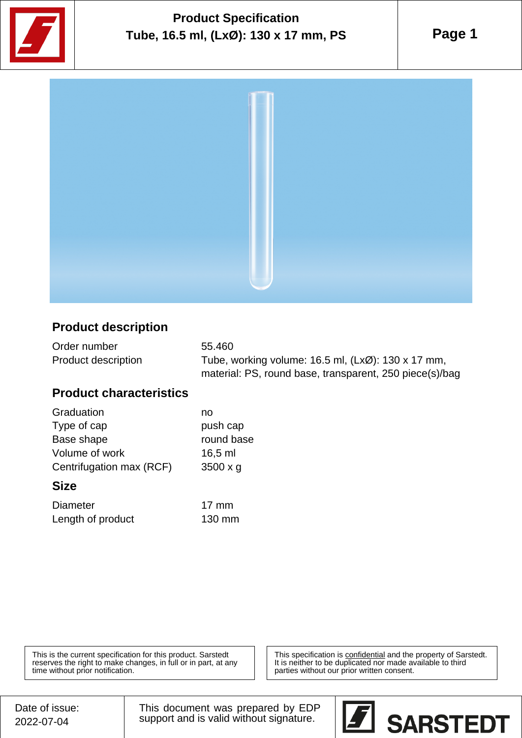

# **Product Specification Tube, 16.5 ml, (LxØ): 130 x 17 mm, PS**

**Page 1**



### **Product description**

| Order number               | 55.460                                                  |
|----------------------------|---------------------------------------------------------|
| <b>Product description</b> | Tube, working volume: 16.5 ml, (LxØ): 130 x 17 mm,      |
|                            | material: PS, round base, transparent, 250 piece(s)/bag |

#### **Product characteristics**

| Graduation               | no              |
|--------------------------|-----------------|
| Type of cap              | push cap        |
| Base shape               | round base      |
| Volume of work           | $16,5$ ml       |
| Centrifugation max (RCF) | $3500 \times g$ |

#### **Size**

| <b>Diameter</b>   | 17 mm  |
|-------------------|--------|
| Length of product | 130 mm |

This is the current specification for this product. Sarstedt reserves the right to make changes, in full or in part, at any time without prior notification.

This specification is **confidential** and the property of Sarstedt. It is neither to be duplicated nor made available to third parties without our prior written consent.

Date of issue: 2022-07-04

This document was prepared by EDP support and is valid without signature.